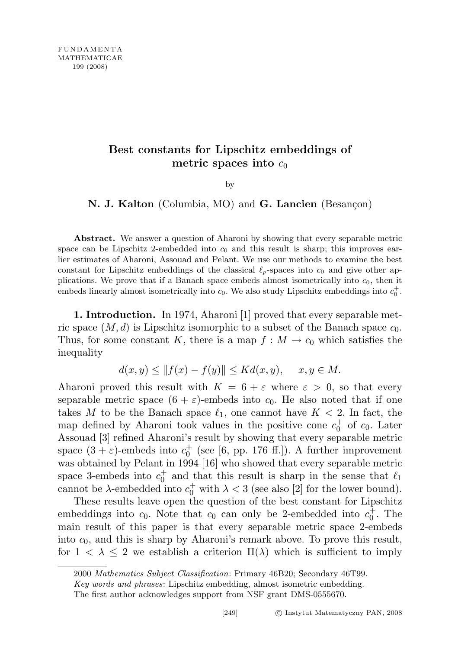## Best constants for Lipschitz embeddings of metric spaces into  $c_0$

by

N. J. Kalton (Columbia, MO) and G. Lancien (Besançon)

Abstract. We answer a question of Aharoni by showing that every separable metric space can be Lipschitz 2-embedded into  $c_0$  and this result is sharp; this improves earlier estimates of Aharoni, Assouad and Pelant. We use our methods to examine the best constant for Lipschitz embeddings of the classical  $\ell_p$ -spaces into  $c_0$  and give other applications. We prove that if a Banach space embeds almost isometrically into  $c<sub>0</sub>$ , then it embeds linearly almost isometrically into  $c_0$ . We also study Lipschitz embeddings into  $c_0^+$ .

1. Introduction. In 1974, Aharoni [1] proved that every separable metric space  $(M, d)$  is Lipschitz isomorphic to a subset of the Banach space  $c_0$ . Thus, for some constant K, there is a map  $f : M \to c_0$  which satisfies the inequality

$$
d(x, y) \le ||f(x) - f(y)|| \le Kd(x, y), \quad x, y \in M.
$$

Aharoni proved this result with  $K = 6 + \varepsilon$  where  $\varepsilon > 0$ , so that every separable metric space  $(6 + \varepsilon)$ -embeds into  $c_0$ . He also noted that if one takes M to be the Banach space  $\ell_1$ , one cannot have  $K < 2$ . In fact, the map defined by Aharoni took values in the positive cone  $c_0^+$  of  $c_0$ . Later Assouad [3] refined Aharoni's result by showing that every separable metric space  $(3 + \varepsilon)$ -embeds into  $c_0^+$  (see [6, pp. 176 ff.]). A further improvement was obtained by Pelant in 1994 [16] who showed that every separable metric space 3-embeds into  $c_0^+$  and that this result is sharp in the sense that  $\ell_1$ cannot be  $\lambda$ -embedded into  $c_0^+$  with  $\lambda < 3$  (see also [2] for the lower bound).

These results leave open the question of the best constant for Lipschitz embeddings into  $c_0$ . Note that  $c_0$  can only be 2-embedded into  $c_0^+$ . The main result of this paper is that every separable metric space 2-embeds into  $c_0$ , and this is sharp by Aharoni's remark above. To prove this result, for  $1 < \lambda \leq 2$  we establish a criterion  $\Pi(\lambda)$  which is sufficient to imply

<sup>2000</sup> Mathematics Subject Classification: Primary 46B20; Secondary 46T99.

Key words and phrases: Lipschitz embedding, almost isometric embedding.

The first author acknowledges support from NSF grant DMS-0555670.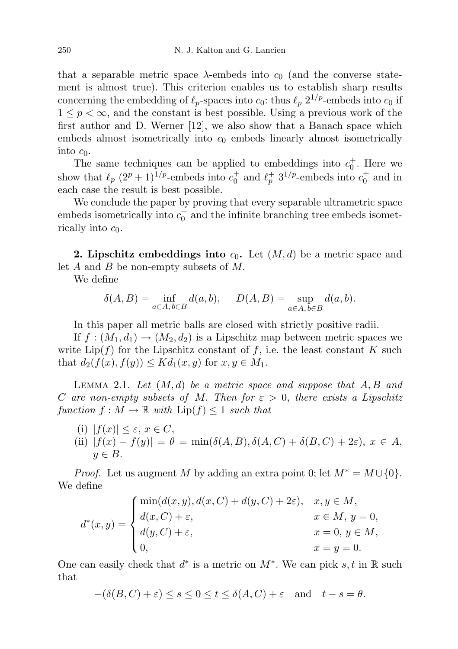that a separable metric space  $\lambda$ -embeds into  $c_0$  (and the converse statement is almost true). This criterion enables us to establish sharp results concerning the embedding of  $\ell_p$ -spaces into  $c_0$ : thus  $\ell_p$  2<sup>1/p</sup>-embeds into  $c_0$  if  $1 \leq p < \infty$ , and the constant is best possible. Using a previous work of the first author and D. Werner [12], we also show that a Banach space which embeds almost isometrically into  $c_0$  embeds linearly almost isometrically into  $c_0$ .

The same techniques can be applied to embeddings into  $c_0^+$ . Here we show that  $\ell_p (2^p + 1)^{1/p}$ -embeds into  $c_0^+$  and  $\ell_p^+$  3<sup>1/p</sup>-embeds into  $c_0^+$  and in each case the result is best possible.

We conclude the paper by proving that every separable ultrametric space embeds isometrically into  $c_0^+$  and the infinite branching tree embeds isometrically into  $c_0$ .

**2. Lipschitz embeddings into**  $c_0$ . Let  $(M, d)$  be a metric space and let  $A$  and  $B$  be non-empty subsets of  $M$ .

We define

$$
\delta(A, B) = \inf_{a \in A, b \in B} d(a, b), \quad D(A, B) = \sup_{a \in A, b \in B} d(a, b).
$$

In this paper all metric balls are closed with strictly positive radii.

If  $f : (M_1, d_1) \to (M_2, d_2)$  is a Lipschitz map between metric spaces we write  $\text{Lip}(f)$  for the Lipschitz constant of f, i.e. the least constant K such that  $d_2(f(x), f(y)) \leq K d_1(x, y)$  for  $x, y \in M_1$ .

LEMMA 2.1. Let  $(M, d)$  be a metric space and suppose that  $A, B$  and C are non-empty subsets of M. Then for  $\varepsilon > 0$ , there exists a Lipschitz function  $f : M \to \mathbb{R}$  with  $\text{Lip}(f) \leq 1$  such that

(i)  $|f(x)| \leq \varepsilon$ ,  $x \in C$ , (ii)  $|f(x) - f(y)| = \theta = \min(\delta(A, B), \delta(A, C) + \delta(B, C) + 2\varepsilon), x \in A$  $y \in B$ .

*Proof.* Let us augment M by adding an extra point 0; let  $M^* = M \cup \{0\}$ . We define

$$
d^*(x, y) = \begin{cases} \min(d(x, y), d(x, C) + d(y, C) + 2\varepsilon), & x, y \in M, \\ d(x, C) + \varepsilon, & x \in M, y = 0, \\ d(y, C) + \varepsilon, & x = 0, y \in M, \\ 0, & x = y = 0. \end{cases}
$$

One can easily check that  $d^*$  is a metric on  $M^*$ . We can pick  $s, t$  in  $\mathbb R$  such that

$$
-(\delta(B,C)+\varepsilon) \le s \le 0 \le t \le \delta(A,C)+\varepsilon \quad \text{and} \quad t-s=\theta.
$$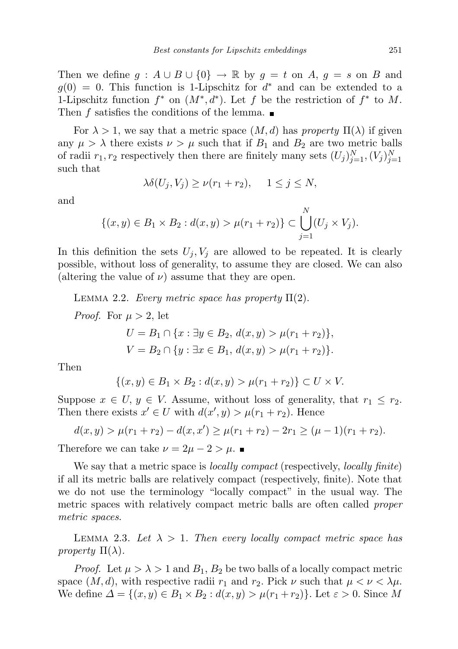Then we define  $g : A \cup B \cup \{0\} \rightarrow \mathbb{R}$  by  $g = t$  on  $A, g = s$  on  $B$  and  $g(0) = 0$ . This function is 1-Lipschitz for  $d^*$  and can be extended to a 1-Lipschitz function  $f^*$  on  $(M^*, d^*)$ . Let f be the restriction of  $f^*$  to M. Then f satisfies the conditions of the lemma.  $\blacksquare$ 

For  $\lambda > 1$ , we say that a metric space  $(M, d)$  has property  $\Pi(\lambda)$  if given any  $\mu > \lambda$  there exists  $\nu > \mu$  such that if  $B_1$  and  $B_2$  are two metric balls of radii  $r_1, r_2$  respectively then there are finitely many sets  $(U_j)_{j=1}^N, (V_j)_{j=1}^N$ such that

$$
\lambda \delta(U_j, V_j) \ge \nu(r_1 + r_2), \quad 1 \le j \le N,
$$

and

$$
\{(x,y)\in B_1\times B_2: d(x,y) > \mu(r_1+r_2)\} \subset \bigcup_{j=1}^N (U_j\times V_j).
$$

In this definition the sets  $U_j, V_j$  are allowed to be repeated. It is clearly possible, without loss of generality, to assume they are closed. We can also (altering the value of  $\nu$ ) assume that they are open.

LEMMA 2.2. Every metric space has property  $\Pi(2)$ .

*Proof.* For  $\mu > 2$ , let

$$
U = B_1 \cap \{x : \exists y \in B_2, d(x, y) > \mu(r_1 + r_2)\},\
$$
  

$$
V = B_2 \cap \{y : \exists x \in B_1, d(x, y) > \mu(r_1 + r_2)\}.
$$

Then

$$
\{(x, y) \in B_1 \times B_2 : d(x, y) > \mu(r_1 + r_2)\} \subset U \times V.
$$

Suppose  $x \in U$ ,  $y \in V$ . Assume, without loss of generality, that  $r_1 \leq r_2$ . Then there exists  $x' \in U$  with  $d(x', y) > \mu(r_1 + r_2)$ . Hence

$$
d(x,y) > \mu(r_1 + r_2) - d(x, x') \ge \mu(r_1 + r_2) - 2r_1 \ge (\mu - 1)(r_1 + r_2).
$$

Therefore we can take  $\nu = 2\mu - 2 > \mu$ .

We say that a metric space is *locally compact* (respectively, *locally finite*) if all its metric balls are relatively compact (respectively, finite). Note that we do not use the terminology "locally compact" in the usual way. The metric spaces with relatively compact metric balls are often called *proper* metric spaces.

LEMMA 2.3. Let  $\lambda > 1$ . Then every locally compact metric space has property  $\Pi(\lambda)$ .

*Proof.* Let  $\mu > \lambda > 1$  and  $B_1, B_2$  be two balls of a locally compact metric space  $(M, d)$ , with respective radii  $r_1$  and  $r_2$ . Pick  $\nu$  such that  $\mu < \nu < \lambda \mu$ . We define  $\Delta = \{(x, y) \in B_1 \times B_2 : d(x, y) > \mu(r_1 + r_2)\}\.$  Let  $\varepsilon > 0$ . Since M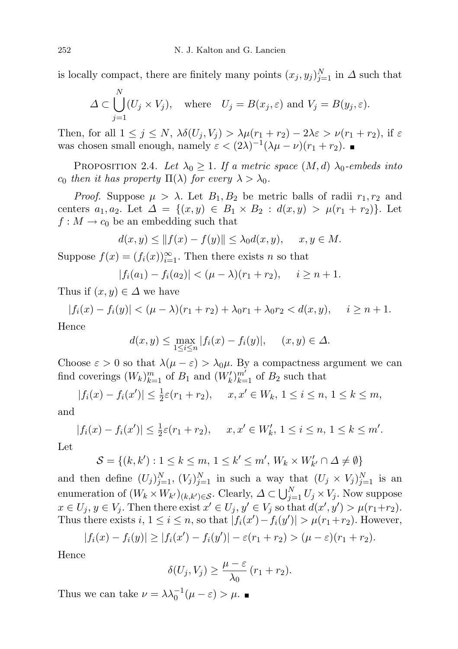is locally compact, there are finitely many points  $(x_j, y_j)_{j=1}^N$  in  $\Delta$  such that

$$
\Delta \subset \bigcup_{j=1}^N (U_j \times V_j), \quad \text{where} \quad U_j = B(x_j, \varepsilon) \text{ and } V_j = B(y_j, \varepsilon).
$$

Then, for all  $1 \leq j \leq N$ ,  $\lambda \delta(U_i, V_j) > \lambda \mu(r_1 + r_2) - 2\lambda \varepsilon > \nu(r_1 + r_2)$ , if  $\varepsilon$ was chosen small enough, namely  $\varepsilon < (2\lambda)^{-1}(\lambda\mu - \nu)(r_1 + r_2)$ .

PROPOSITION 2.4. Let  $\lambda_0 \geq 1$ . If a metric space  $(M, d)$   $\lambda_0$ -embeds into  $c_0$  then it has property  $\Pi(\lambda)$  for every  $\lambda > \lambda_0$ .

*Proof.* Suppose  $\mu > \lambda$ . Let  $B_1, B_2$  be metric balls of radii  $r_1, r_2$  and centers  $a_1, a_2$ . Let  $\Delta = \{(x, y) \in B_1 \times B_2 : d(x, y) > \mu(r_1 + r_2)\}\.$  Let  $f: M \to c_0$  be an embedding such that

$$
d(x,y) \le ||f(x) - f(y)|| \le \lambda_0 d(x,y), \quad x, y \in M.
$$

Suppose  $f(x) = (f_i(x))_{i=1}^{\infty}$ . Then there exists *n* so that

$$
|f_i(a_1) - f_i(a_2)| < ( \mu - \lambda)(r_1 + r_2), \quad i \ge n + 1.
$$

Thus if  $(x, y) \in \Delta$  we have

N

$$
|f_i(x) - f_i(y)| < (\mu - \lambda)(r_1 + r_2) + \lambda_0 r_1 + \lambda_0 r_2 < d(x, y), \quad i \ge n + 1.
$$
\nSince

Hence

$$
d(x,y) \le \max_{1 \le i \le n} |f_i(x) - f_i(y)|, \quad (x,y) \in \Delta.
$$

Choose  $\varepsilon > 0$  so that  $\lambda(\mu - \varepsilon) > \lambda_0 \mu$ . By a compactness argument we can find coverings  $(W_k)_{k=1}^m$  of  $B_1$  and  $(W_k')_{k=1}^{m'}$  of  $B_2$  such that

$$
|f_i(x) - f_i(x')| \le \frac{1}{2}\varepsilon(r_1 + r_2), \quad x, x' \in W_k, \ 1 \le i \le n, \ 1 \le k \le m,
$$

and

$$
|f_i(x) - f_i(x')| \le \frac{1}{2}\varepsilon(r_1 + r_2), \quad x, x' \in W'_k, 1 \le i \le n, 1 \le k \le m'.
$$

Let

$$
\mathcal{S} = \{(k, k'): 1 \leq k \leq m, 1 \leq k' \leq m', W_k \times W'_{k'} \cap \Delta \neq \emptyset\}
$$

and then define  $(U_j)_{j=1}^N$ ,  $(V_j)_{j=1}^N$  in such a way that  $(U_j \times V_j)_{j=1}^N$  is an enumeration of  $(W_k \times W_{k'})_{(k,k') \in \mathcal{S}}$ . Clearly,  $\Delta \subset \bigcup_{j=1}^N U_j \times V_j$ . Now suppose  $x \in U_j, y \in V_j$ . Then there exist  $x' \in U_j, y' \in V_j$  so that  $d(x', y') > \mu(r_1+r_2)$ . Thus there exists  $i, 1 \leq i \leq n$ , so that  $|f_i(x') - f_i(y')| > \mu(r_1 + r_2)$ . However,

$$
|f_i(x) - f_i(y)| \ge |f_i(x') - f_i(y')| - \varepsilon(r_1 + r_2) > (\mu - \varepsilon)(r_1 + r_2).
$$

Hence

$$
\delta(U_j, V_j) \ge \frac{\mu - \varepsilon}{\lambda_0} (r_1 + r_2).
$$

Thus we can take  $\nu = \lambda \lambda_0^{-1} (\mu - \varepsilon) > \mu$ .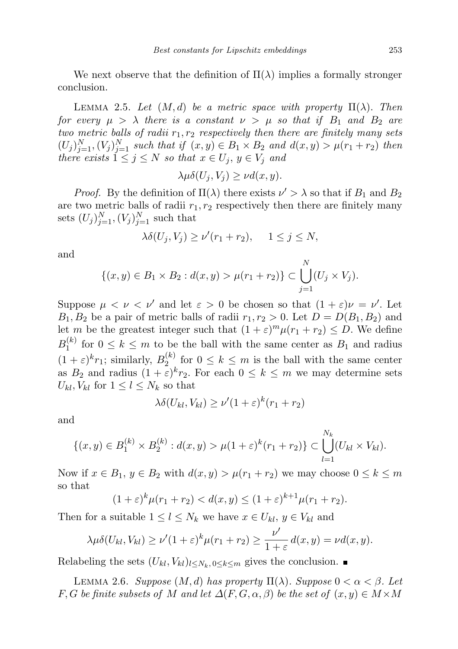We next observe that the definition of  $\Pi(\lambda)$  implies a formally stronger conclusion.

LEMMA 2.5. Let  $(M, d)$  be a metric space with property  $\Pi(\lambda)$ . Then for every  $\mu > \lambda$  there is a constant  $\nu > \mu$  so that if  $B_1$  and  $B_2$  are two metric balls of radii  $r_1, r_2$  respectively then there are finitely many sets  $(U_j)_{j=1}^N, (V_j)_{j=1}^N$  such that if  $(x, y) \in B_1 \times B_2$  and  $d(x, y) > \mu(r_1 + r_2)$  then there exists  $1 \leq j \leq N$  so that  $x \in U_j$ ,  $y \in V_j$  and

$$
\lambda \mu \delta(U_j, V_j) \ge \nu d(x, y).
$$

*Proof.* By the definition of  $\Pi(\lambda)$  there exists  $\nu' > \lambda$  so that if  $B_1$  and  $B_2$ are two metric balls of radii  $r_1, r_2$  respectively then there are finitely many sets  $(U_j)_{j=1}^N, (V_j)_{j=1}^N$  such that

$$
\lambda \delta(U_j, V_j) \ge \nu'(r_1 + r_2), \quad 1 \le j \le N,
$$

and

$$
\{(x,y)\in B_1\times B_2: d(x,y) > \mu(r_1+r_2)\} \subset \bigcup_{j=1}^N (U_j\times V_j).
$$

Suppose  $\mu < \nu < \nu'$  and let  $\varepsilon > 0$  be chosen so that  $(1 + \varepsilon)\nu = \nu'$ . Let  $B_1, B_2$  be a pair of metric balls of radii  $r_1, r_2 > 0$ . Let  $D = D(B_1, B_2)$  and let m be the greatest integer such that  $(1 + \varepsilon)^m \mu(r_1 + r_2) \le D$ . We define  $B_1^{(k)}$  $f_1^{(k)}$  for  $0 \leq k \leq m$  to be the ball with the same center as  $B_1$  and radius  $(1+\varepsilon)^k r_1$ ; similarly,  $B_2^{(k)}$  $\sum_{i=1}^{k}$  for  $0 \leq k \leq m$  is the ball with the same center as  $B_2$  and radius  $(1+\varepsilon)^k r_2$ . For each  $0 \leq k \leq m$  we may determine sets  $U_{kl}$ ,  $V_{kl}$  for  $1 \leq l \leq N_k$  so that

$$
\lambda \delta(U_{kl}, V_{kl}) \ge \nu'(1+\varepsilon)^k (r_1+r_2)
$$

and

$$
\{(x,y)\in B_1^{(k)}\times B_2^{(k)}: d(x,y) > \mu(1+\varepsilon)^k(r_1+r_2)\}\subset \bigcup_{l=1}^{N_k} (U_{kl}\times V_{kl}).
$$

Now if  $x \in B_1$ ,  $y \in B_2$  with  $d(x, y) > \mu(r_1 + r_2)$  we may choose  $0 \leq k \leq m$ so that

$$
(1+\varepsilon)^k \mu(r_1+r_2) < d(x,y) \le (1+\varepsilon)^{k+1} \mu(r_1+r_2).
$$

Then for a suitable  $1 \leq l \leq N_k$  we have  $x \in U_{kl}$ ,  $y \in V_{kl}$  and

$$
\lambda \mu \delta(U_{kl}, V_{kl}) \ge \nu'(1+\varepsilon)^k \mu(r_1+r_2) \ge \frac{\nu'}{1+\varepsilon} d(x,y) = \nu d(x,y).
$$

Relabeling the sets  $(U_{kl}, V_{kl})_{l \leq N_k, 0 \leq k \leq m}$  gives the conclusion. ■

LEMMA 2.6. Suppose  $(M, d)$  has property  $\Pi(\lambda)$ . Suppose  $0 < \alpha < \beta$ . Let F, G be finite subsets of M and let  $\Delta(F, G, \alpha, \beta)$  be the set of  $(x, y) \in M \times M$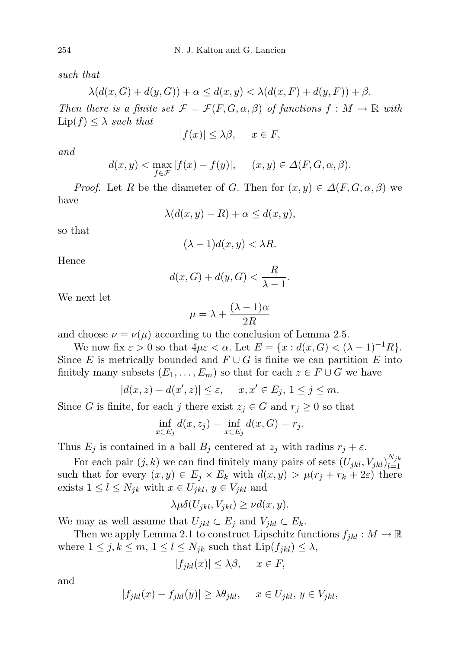such that

$$
\lambda(d(x, G) + d(y, G)) + \alpha \le d(x, y) < \lambda(d(x, F) + d(y, F)) + \beta.
$$

Then there is a finite set  $\mathcal{F} = \mathcal{F}(F, G, \alpha, \beta)$  of functions  $f : M \to \mathbb{R}$  with  $\text{Lip}(f) \leq \lambda$  such that

$$
|f(x)| \le \lambda \beta, \quad x \in F,
$$

and

$$
d(x, y) < \max_{f \in \mathcal{F}} |f(x) - f(y)|, \quad (x, y) \in \Delta(F, G, \alpha, \beta).
$$

*Proof.* Let R be the diameter of G. Then for  $(x, y) \in \Delta(F, G, \alpha, \beta)$  we have

$$
\lambda(d(x,y) - R) + \alpha \le d(x,y),
$$

so that

$$
(\lambda - 1)d(x, y) < \lambda R.
$$

Hence

$$
d(x, G) + d(y, G) < \frac{R}{\lambda - 1}.
$$

We next let

$$
\mu = \lambda + \frac{(\lambda - 1)\alpha}{2R}
$$

and choose  $\nu = \nu(\mu)$  according to the conclusion of Lemma 2.5.

We now fix  $\varepsilon > 0$  so that  $4\mu\varepsilon < \alpha$ . Let  $E = \{x : d(x, G) < (\lambda - 1)^{-1}R\}.$ Since E is metrically bounded and  $F \cup G$  is finite we can partition E into finitely many subsets  $(E_1, \ldots, E_m)$  so that for each  $z \in F \cup G$  we have

$$
|d(x,z) - d(x',z)| \le \varepsilon, \quad x, x' \in E_j, \ 1 \le j \le m.
$$

Since G is finite, for each j there exist  $z_j \in G$  and  $r_j \geq 0$  so that

$$
\inf_{x \in E_j} d(x, z_j) = \inf_{x \in E_j} d(x, G) = r_j.
$$

Thus  $E_j$  is contained in a ball  $B_j$  centered at  $z_j$  with radius  $r_j + \varepsilon$ .

For each pair  $(j, k)$  we can find finitely many pairs of sets  $(U_{jkl}, V_{jkl})_{l=1}^{N_{jk}}$  $l=1$ such that for every  $(x, y) \in E_j \times E_k$  with  $d(x, y) > \mu(r_j + r_k + 2\varepsilon)$  there exists  $1 \leq l \leq N_{jk}$  with  $x \in U_{jkl}$ ,  $y \in V_{jkl}$  and

$$
\lambda \mu \delta(U_{jkl}, V_{jkl}) \ge \nu d(x, y).
$$

We may as well assume that  $U_{jkl} \subset E_j$  and  $V_{jkl} \subset E_k$ .

Then we apply Lemma 2.1 to construct Lipschitz functions  $f_{jkl}: M \to \mathbb{R}$ where  $1 \leq j, k \leq m, 1 \leq l \leq N_{jk}$  such that  $\text{Lip}(f_{jkl}) \leq \lambda$ ,

$$
|f_{jkl}(x)| \le \lambda \beta, \quad x \in F,
$$

and

$$
|f_{jkl}(x) - f_{jkl}(y)| \ge \lambda \theta_{jkl}, \quad x \in U_{jkl}, y \in V_{jkl},
$$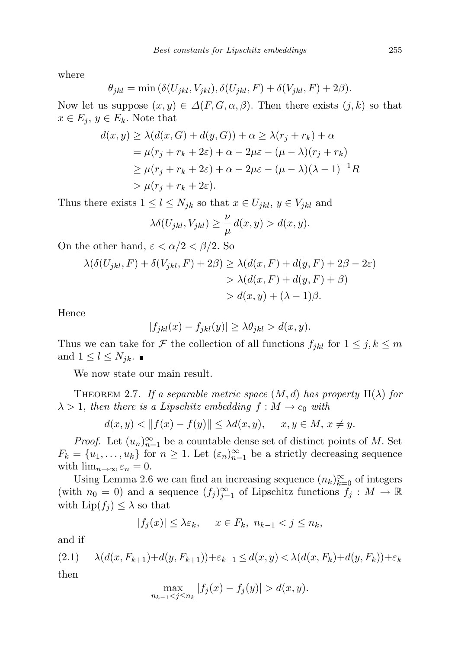where

$$
\theta_{jkl} = \min(\delta(U_{jkl}, V_{jkl}), \delta(U_{jkl}, F) + \delta(V_{jkl}, F) + 2\beta).
$$

Now let us suppose  $(x, y) \in \Delta(F, G, \alpha, \beta)$ . Then there exists  $(j, k)$  so that  $x \in E_j$ ,  $y \in E_k$ . Note that

$$
d(x, y) \ge \lambda(d(x, G) + d(y, G)) + \alpha \ge \lambda(r_j + r_k) + \alpha
$$
  
=  $\mu(r_j + r_k + 2\varepsilon) + \alpha - 2\mu\varepsilon - (\mu - \lambda)(r_j + r_k)$   
 $\ge \mu(r_j + r_k + 2\varepsilon) + \alpha - 2\mu\varepsilon - (\mu - \lambda)(\lambda - 1)^{-1}R$   
 $\gt \mu(r_j + r_k + 2\varepsilon).$ 

Thus there exists  $1 \leq l \leq N_{jk}$  so that  $x \in U_{jkl}$ ,  $y \in V_{jkl}$  and

$$
\lambda \delta(U_{jkl}, V_{jkl}) \ge \frac{\nu}{\mu} d(x, y) > d(x, y).
$$

On the other hand,  $\varepsilon < \alpha/2 < \beta/2$ . So

$$
\lambda(\delta(U_{jkl}, F) + \delta(V_{jkl}, F) + 2\beta) \ge \lambda(d(x, F) + d(y, F) + 2\beta - 2\varepsilon)
$$
  
>  $\lambda(d(x, F) + d(y, F) + \beta)$   
>  $d(x, y) + (\lambda - 1)\beta$ .

Hence

$$
|f_{jkl}(x) - f_{jkl}(y)| \ge \lambda \theta_{jkl} > d(x, y).
$$

Thus we can take for F the collection of all functions  $f_{jkl}$  for  $1 \leq j, k \leq m$ and  $1 \leq l \leq N_{jk}$ .

We now state our main result.

THEOREM 2.7. If a separable metric space  $(M, d)$  has property  $\Pi(\lambda)$  for  $\lambda > 1$ , then there is a Lipschitz embedding  $f : M \to c_0$  with

$$
d(x, y) < ||f(x) - f(y)|| \le \lambda d(x, y), \quad x, y \in M, x \neq y.
$$

*Proof.* Let  $(u_n)_{n=1}^{\infty}$  be a countable dense set of distinct points of M. Set  $F_k = \{u_1, \ldots, u_k\}$  for  $n \geq 1$ . Let  $(\varepsilon_n)_{n=1}^{\infty}$  be a strictly decreasing sequence with  $\lim_{n\to\infty} \varepsilon_n = 0$ .

Using Lemma 2.6 we can find an increasing sequence  $(n_k)_{k=0}^{\infty}$  of integers (with  $n_0 = 0$ ) and a sequence  $(f_j)_{j=1}^{\infty}$  of Lipschitz functions  $f_j : M \to \mathbb{R}$ with  $\text{Lip}(f_i) \leq \lambda$  so that

$$
|f_j(x)| \leq \lambda \varepsilon_k, \quad x \in F_k, \ n_{k-1} < j \leq n_k,
$$

and if

(2.1) 
$$
\lambda(d(x, F_{k+1}) + d(y, F_{k+1})) + \varepsilon_{k+1} \le d(x, y) < \lambda(d(x, F_k) + d(y, F_k)) + \varepsilon_k
$$
then

$$
\max_{n_{k-1} < j \le n_k} |f_j(x) - f_j(y)| > d(x, y).
$$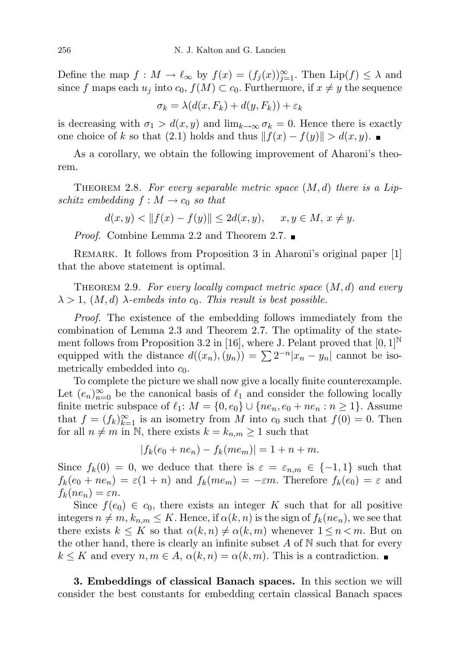Define the map  $f : M \to \ell_{\infty}$  by  $f(x) = (f_j(x))_{j=1}^{\infty}$ . Then  $\text{Lip}(f) \leq \lambda$  and since f maps each  $u_j$  into  $c_0$ ,  $f(M) \subset c_0$ . Furthermore, if  $x \neq y$  the sequence

$$
\sigma_k = \lambda(d(x, F_k) + d(y, F_k)) + \varepsilon_k
$$

is decreasing with  $\sigma_1 > d(x, y)$  and  $\lim_{k\to\infty} \sigma_k = 0$ . Hence there is exactly one choice of k so that (2.1) holds and thus  $|| f(x) - f(y)|| > d(x, y)$ .

As a corollary, we obtain the following improvement of Aharoni's theorem.

THEOREM 2.8. For every separable metric space  $(M, d)$  there is a Lipschitz embedding  $f : M \to c_0$  so that

 $d(x, y) < ||f(x) - f(y)|| \leq 2d(x, y), \quad x, y \in M, x \neq y.$ 

*Proof.* Combine Lemma 2.2 and Theorem 2.7. ■

REMARK. It follows from Proposition 3 in Aharoni's original paper [1] that the above statement is optimal.

THEOREM 2.9. For every locally compact metric space  $(M, d)$  and every  $\lambda > 1$ ,  $(M, d)$   $\lambda$ -embeds into  $c_0$ . This result is best possible.

Proof. The existence of the embedding follows immediately from the combination of Lemma 2.3 and Theorem 2.7. The optimality of the statement follows from Proposition 3.2 in [16], where J. Pelant proved that  $[0,1]^{\mathbb{N}}$ equipped with the distance  $d((x_n), (y_n)) = \sum 2^{-n} |x_n - y_n|$  cannot be isometrically embedded into  $c_0$ .

To complete the picture we shall now give a locally finite counterexample. Let  $(e_n)_{n=0}^{\infty}$  be the canonical basis of  $\ell_1$  and consider the following locally finite metric subspace of  $\ell_1: M = \{0, e_0\} \cup \{ne_n, e_0 + ne_n : n \ge 1\}$ . Assume that  $f = (f_k)_{k=1}^{\infty}$  is an isometry from M into  $c_0$  such that  $f(0) = 0$ . Then for all  $n \neq m$  in N, there exists  $k = k_{n,m} \geq 1$  such that

$$
|f_k(e_0 + ne_n) - f_k(me_m)| = 1 + n + m.
$$

Since  $f_k(0) = 0$ , we deduce that there is  $\varepsilon = \varepsilon_{n,m} \in \{-1,1\}$  such that  $f_k(e_0 + ne_n) = \varepsilon(1 + n)$  and  $f_k(me_m) = -\varepsilon m$ . Therefore  $f_k(e_0) = \varepsilon$  and  $f_k(ne_n)=\varepsilon n$ .

Since  $f(e_0) \in c_0$ , there exists an integer K such that for all positive integers  $n \neq m$ ,  $k_{n,m} \leq K$ . Hence, if  $\alpha(k,n)$  is the sign of  $f_k(ne_n)$ , we see that there exists  $k \leq K$  so that  $\alpha(k,n) \neq \alpha(k,m)$  whenever  $1 \leq n \leq m$ . But on the other hand, there is clearly an infinite subset  $A$  of  $N$  such that for every  $k \leq K$  and every  $n, m \in A$ ,  $\alpha(k,n) = \alpha(k,m)$ . This is a contradiction.

3. Embeddings of classical Banach spaces. In this section we will consider the best constants for embedding certain classical Banach spaces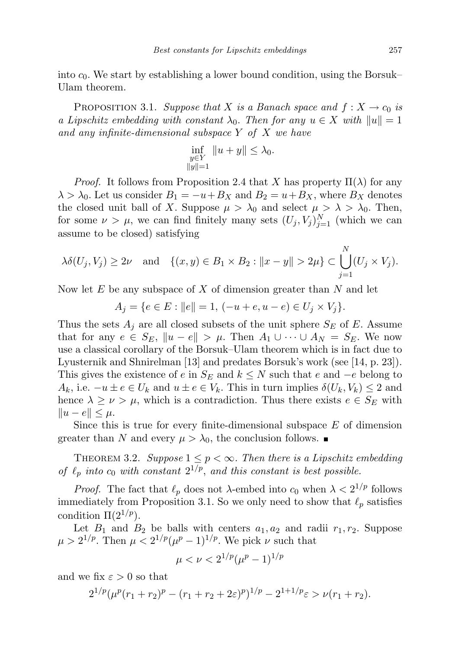into  $c_0$ . We start by establishing a lower bound condition, using the Borsuk– Ulam theorem.

PROPOSITION 3.1. Suppose that X is a Banach space and  $f: X \to c_0$  is a Lipschitz embedding with constant  $\lambda_0$ . Then for any  $u \in X$  with  $||u|| = 1$ and any infinite-dimensional subspace Y of X we have

$$
\inf_{\substack{y \in Y \\ \|y\|=1}} \|u + y\| \le \lambda_0.
$$

*Proof.* It follows from Proposition 2.4 that X has property  $\Pi(\lambda)$  for any  $\lambda > \lambda_0$ . Let us consider  $B_1 = -u + B_X$  and  $B_2 = u + B_X$ , where  $B_X$  denotes the closed unit ball of X. Suppose  $\mu > \lambda_0$  and select  $\mu > \lambda > \lambda_0$ . Then, for some  $\nu > \mu$ , we can find finitely many sets  $(U_j, V_j)_{j=1}^N$  (which we can assume to be closed) satisfying

$$
\lambda \delta(U_j, V_j) \ge 2\nu \quad \text{and} \quad \{(x, y) \in B_1 \times B_2 : ||x - y|| > 2\mu\} \subset \bigcup_{j=1}^N (U_j \times V_j).
$$

Now let  $E$  be any subspace of  $X$  of dimension greater than  $N$  and let

$$
A_j = \{ e \in E : ||e|| = 1, (-u + e, u - e) \in U_j \times V_j \}.
$$

Thus the sets  $A_i$  are all closed subsets of the unit sphere  $S_E$  of E. Assume that for any  $e \in S_E$ ,  $\|u - e\| > \mu$ . Then  $A_1 \cup \cdots \cup A_N = S_E$ . We now use a classical corollary of the Borsuk–Ulam theorem which is in fact due to Lyusternik and Shnirelman [13] and predates Borsuk's work (see [14, p. 23]). This gives the existence of e in  $S_E$  and  $k \leq N$  such that e and  $-e$  belong to  $A_k$ , i.e.  $-u \pm e \in U_k$  and  $u \pm e \in V_k$ . This in turn implies  $\delta(U_k, V_k) \leq 2$  and hence  $\lambda \geq \nu > \mu$ , which is a contradiction. Thus there exists  $e \in S_E$  with  $||u - e|| \leq \mu.$ 

Since this is true for every finite-dimensional subspace  $E$  of dimension greater than N and every  $\mu > \lambda_0$ , the conclusion follows.

THEOREM 3.2. Suppose  $1 \leq p < \infty$ . Then there is a Lipschitz embedding of  $\ell_p$  into  $c_0$  with constant  $2^{1/p}$ , and this constant is best possible.

*Proof.* The fact that  $\ell_p$  does not  $\lambda$ -embed into  $c_0$  when  $\lambda < 2^{1/p}$  follows immediately from Proposition 3.1. So we only need to show that  $\ell_p$  satisfies condition  $\Pi(2^{1/p})$ .

Let  $B_1$  and  $B_2$  be balls with centers  $a_1, a_2$  and radii  $r_1, r_2$ . Suppose  $\mu > 2^{1/p}$ . Then  $\mu < 2^{1/p}(\mu^p - 1)^{1/p}$ . We pick  $\nu$  such that

$$
\mu < \nu < 2^{1/p}(\mu^p - 1)^{1/p}
$$

and we fix  $\varepsilon > 0$  so that

$$
2^{1/p}(\mu^p(r_1+r_2)^p - (r_1+r_2+2\varepsilon)^p)^{1/p} - 2^{1+1/p}\varepsilon > \nu(r_1+r_2).
$$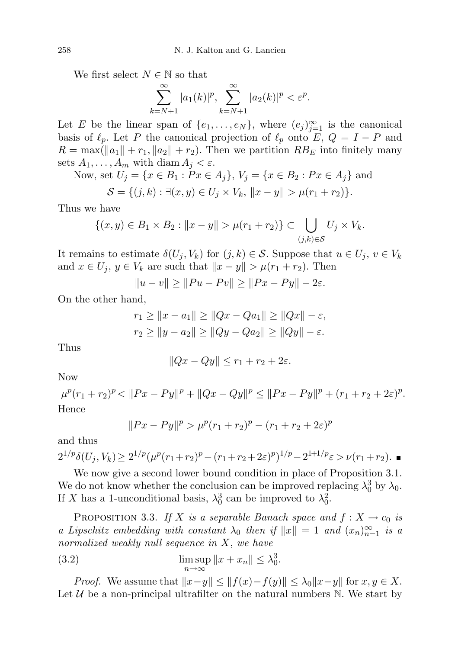We first select  $N \in \mathbb{N}$  so that

$$
\sum_{k=N+1}^{\infty} |a_1(k)|^p, \sum_{k=N+1}^{\infty} |a_2(k)|^p < \varepsilon^p.
$$

Let E be the linear span of  $\{e_1, \ldots, e_N\}$ , where  $(e_j)_{j=1}^{\infty}$  is the canonical basis of  $\ell_p$ . Let P the canonical projection of  $\ell_p$  onto E,  $Q = I - P$  and  $R = \max(||a_1|| + r_1, ||a_2|| + r_2)$ . Then we partition  $RB_E$  into finitely many sets  $A_1, \ldots, A_m$  with diam  $A_i < \varepsilon$ .

Now, set  $U_j = \{x \in B_1 : Px \in A_j\}, V_j = \{x \in B_2 : Px \in A_j\}$  and

$$
S = \{(j,k) : \exists (x,y) \in U_j \times V_k, ||x - y|| > \mu(r_1 + r_2)\}.
$$

Thus we have

$$
\{(x,y)\in B_1\times B_2: ||x-y||>\mu(r_1+r_2)\}\subset \bigcup_{(j,k)\in S} U_j\times V_k.
$$

It remains to estimate  $\delta(U_j, V_k)$  for  $(j, k) \in S$ . Suppose that  $u \in U_j$ ,  $v \in V_k$ and  $x \in U_j$ ,  $y \in V_k$  are such that  $||x - y|| > \mu(r_1 + r_2)$ . Then

$$
||u - v|| \ge ||Pu - Pv|| \ge ||Px - Py|| - 2\varepsilon.
$$

On the other hand,

$$
r_1 \ge ||x - a_1|| \ge ||Qx - Qa_1|| \ge ||Qx|| - \varepsilon,
$$
  
\n
$$
r_2 \ge ||y - a_2|| \ge ||Qy - Qa_2|| \ge ||Qy|| - \varepsilon.
$$

Thus

$$
||Qx - Qy|| \le r_1 + r_2 + 2\varepsilon.
$$

Now

 $\mu^{p}(r_1+r_2)^p < ||Px-Py||^p + ||Qx-Qy||^p \leq ||Px-Py||^p + (r_1+r_2+2\varepsilon)^p.$ Hence

$$
||Px - Py||^p > \mu^p(r_1 + r_2)^p - (r_1 + r_2 + 2\varepsilon)^p
$$

and thus

$$
2^{1/p}\delta(U_j, V_k) \ge 2^{1/p}(\mu^p(r_1+r_2)^p - (r_1+r_2+2\varepsilon)^p)^{1/p} - 2^{1+1/p}\varepsilon > \nu(r_1+r_2).
$$

We now give a second lower bound condition in place of Proposition 3.1. We do not know whether the conclusion can be improved replacing  $\lambda_0^3$  by  $\lambda_0$ . If X has a 1-unconditional basis,  $\lambda_0^3$  can be improved to  $\lambda_0^2$ .

PROPOSITION 3.3. If X is a separable Banach space and  $f: X \to c_0$  is a Lipschitz embedding with constant  $\lambda_0$  then if  $||x|| = 1$  and  $(x_n)_{n=1}^{\infty}$  is a normalized weakly null sequence in X, we have

(3.2) 
$$
\limsup_{n \to \infty} ||x + x_n|| \leq \lambda_0^3.
$$

*Proof.* We assume that  $||x-y|| \le ||f(x)-f(y)|| \le \lambda_0 ||x-y||$  for  $x, y \in X$ . Let  $U$  be a non-principal ultrafilter on the natural numbers  $N$ . We start by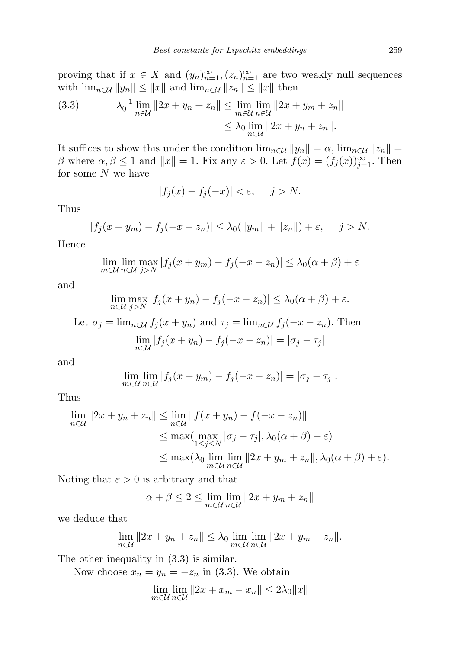proving that if  $x \in X$  and  $(y_n)_{n=1}^{\infty}, (z_n)_{n=1}^{\infty}$  are two weakly null sequences with  $\lim_{n\in\mathcal{U}}||y_n|| \leq ||x||$  and  $\lim_{n\in\mathcal{U}}||z_n|| \leq ||x||$  then

(3.3) 
$$
\lambda_0^{-1} \lim_{n \in \mathcal{U}} \|2x + y_n + z_n\| \le \lim_{m \in \mathcal{U}} \lim_{n \in \mathcal{U}} \|2x + y_m + z_n\|
$$

$$
\le \lambda_0 \lim_{n \in \mathcal{U}} \|2x + y_n + z_n\|.
$$

It suffices to show this under the condition  $\lim_{n\in\mathcal{U}}||y_n|| = \alpha$ ,  $\lim_{n\in\mathcal{U}}||z_n|| =$ β where  $\alpha, \beta \leq 1$  and  $||x|| = 1$ . Fix any  $\varepsilon > 0$ . Let  $f(x) = (f_j(x))_{j=1}^{\infty}$ . Then for some  $N$  we have

$$
|f_j(x) - f_j(-x)| < \varepsilon, \quad j > N.
$$

Thus

$$
|f_j(x + y_m) - f_j(-x - z_n)| \leq \lambda_0(||y_m|| + ||z_n||) + \varepsilon, \quad j > N.
$$

Hence

$$
\lim_{m \in \mathcal{U}} \lim_{n \in \mathcal{U}} \max_{j > N} |f_j(x + y_m) - f_j(-x - z_n)| \leq \lambda_0(\alpha + \beta) + \varepsilon
$$

and

$$
\lim_{n \in \mathcal{U}} \max_{j > N} |f_j(x + y_n) - f_j(-x - z_n)| \leq \lambda_0(\alpha + \beta) + \varepsilon.
$$

Let 
$$
\sigma_j = \lim_{n \in \mathcal{U}} f_j(x + y_n)
$$
 and  $\tau_j = \lim_{n \in \mathcal{U}} f_j(-x - z_n)$ . Then  

$$
\lim_{n \in \mathcal{U}} |f_j(x + y_n) - f_j(-x - z_n)| = |\sigma_j - \tau_j|
$$

and

$$
\lim_{m \in \mathcal{U}} \lim_{n \in \mathcal{U}} |f_j(x + y_m) - f_j(-x - z_n)| = |\sigma_j - \tau_j|.
$$

Thus

$$
\lim_{n \in \mathcal{U}} ||2x + y_n + z_n|| \le \lim_{n \in \mathcal{U}} ||f(x + y_n) - f(-x - z_n)||
$$
  
\n
$$
\le \max(\max_{1 \le j \le N} |\sigma_j - \tau_j|, \lambda_0(\alpha + \beta) + \varepsilon)
$$
  
\n
$$
\le \max(\lambda_0 \lim_{m \in \mathcal{U}} \lim_{n \in \mathcal{U}} ||2x + y_m + z_n||, \lambda_0(\alpha + \beta) + \varepsilon).
$$

Noting that  $\varepsilon > 0$  is arbitrary and that

$$
\alpha + \beta \le 2 \le \lim_{m \in \mathcal{U}} \lim_{n \in \mathcal{U}} \|2x + y_m + z_n\|
$$

we deduce that

$$
\lim_{n \in \mathcal{U}} \|2x + y_n + z_n\| \leq \lambda_0 \lim_{m \in \mathcal{U}} \lim_{n \in \mathcal{U}} \|2x + y_m + z_n\|.
$$

The other inequality in (3.3) is similar.

Now choose  $x_n = y_n = -z_n$  in (3.3). We obtain

$$
\lim_{m \in \mathcal{U}} \lim_{n \in \mathcal{U}} \|2x + x_m - x_n\| \le 2\lambda_0 \|x\|
$$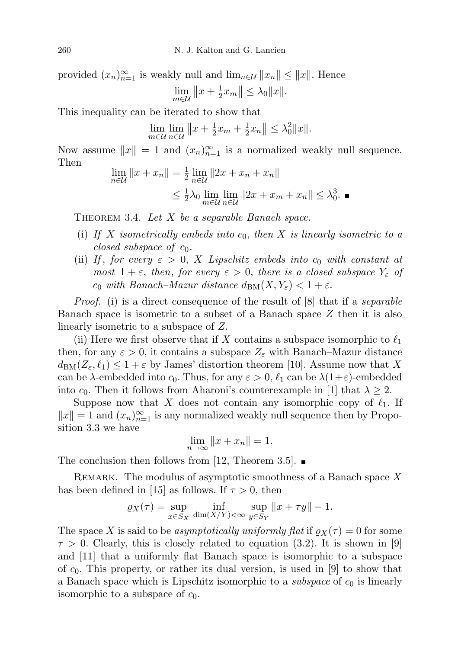provided  $(x_n)_{n=1}^{\infty}$  is weakly null and  $\lim_{n\in\mathcal{U}}||x_n|| \leq ||x||$ . Hence 1  $\mathbf{H}$ 

$$
\lim_{m\in\mathcal{U}}||x+\tfrac{1}{2}x_m||\leq\lambda_0||x||.
$$

This inequality can be iterated to show that

$$
\lim_{m \in \mathcal{U}} \lim_{n \in \mathcal{U}} \|x + \frac{1}{2}x_m + \frac{1}{2}x_n\| \leq \lambda_0^2 \|x\|.
$$

Now assume  $||x|| = 1$  and  $(x_n)_{n=1}^{\infty}$  is a normalized weakly null sequence. Then

$$
\lim_{n \in \mathcal{U}} \|x + x_n\| = \frac{1}{2} \lim_{n \in \mathcal{U}} \|2x + x_n + x_n\|
$$
  

$$
\leq \frac{1}{2} \lambda_0 \lim_{m \in \mathcal{U}} \lim_{n \in \mathcal{U}} \|2x + x_m + x_n\| \leq \lambda_0^3.
$$

THEOREM 3.4. Let  $X$  be a separable Banach space.

- (i) If X isometrically embeds into  $c_0$ , then X is linearly isometric to a closed subspace of  $c_0$ .
- (ii) If, for every  $\varepsilon > 0$ , X Lipschitz embeds into  $c_0$  with constant at most  $1 + \varepsilon$ , then, for every  $\varepsilon > 0$ , there is a closed subspace  $Y_{\varepsilon}$  of  $c_0$  with Banach–Mazur distance  $d_{BM}(X, Y_{\varepsilon}) < 1 + \varepsilon$ .

*Proof.* (i) is a direct consequence of the result of [8] that if a *separable* Banach space is isometric to a subset of a Banach space Z then it is also linearly isometric to a subspace of Z.

(ii) Here we first observe that if X contains a subspace isomorphic to  $\ell_1$ then, for any  $\varepsilon > 0$ , it contains a subspace  $Z_{\varepsilon}$  with Banach–Mazur distance  $d_{BM}(Z_{\varepsilon}, \ell_1) \leq 1 + \varepsilon$  by James' distortion theorem [10]. Assume now that X can be  $\lambda$ -embedded into  $c_0$ . Thus, for any  $\varepsilon > 0$ ,  $\ell_1$  can be  $\lambda(1+\varepsilon)$ -embedded into  $c_0$ . Then it follows from Aharoni's counterexample in [1] that  $\lambda \geq 2$ .

Suppose now that X does not contain any isomorphic copy of  $\ell_1$ . If  $||x|| = 1$  and  $(x_n)_{n=1}^{\infty}$  is any normalized weakly null sequence then by Proposition 3.3 we have

$$
\lim_{n \to \infty} \|x + x_n\| = 1.
$$

The conclusion then follows from [12, Theorem 3.5].  $\blacksquare$ 

REMARK. The modulus of asymptotic smoothness of a Banach space  $X$ has been defined in [15] as follows. If  $\tau > 0$ , then

$$
\varrho_X(\tau) = \sup_{x \in S_X} \inf_{\dim(X/Y) < \infty} \sup_{y \in S_Y} ||x + \tau y|| - 1.
$$

The space X is said to be asymptotically uniformly flat if  $\rho_X(\tau) = 0$  for some  $\tau > 0$ . Clearly, this is closely related to equation (3.2). It is shown in [9] and [11] that a uniformly flat Banach space is isomorphic to a subspace of  $c_0$ . This property, or rather its dual version, is used in [9] to show that a Banach space which is Lipschitz isomorphic to a *subspace* of  $c_0$  is linearly isomorphic to a subspace of  $c_0$ .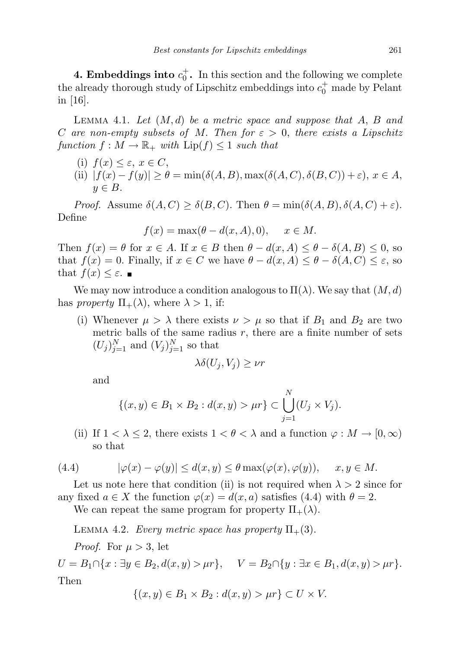**4. Embeddings into**  $c_0^+$ . In this section and the following we complete the already thorough study of Lipschitz embeddings into  $c_0^+$  made by Pelant in [16].

LEMMA 4.1. Let  $(M, d)$  be a metric space and suppose that A, B and C are non-empty subsets of M. Then for  $\varepsilon > 0$ , there exists a Lipschitz function  $f : M \to \mathbb{R}_+$  with  $\text{Lip}(f) \leq 1$  such that

- (i)  $f(x) \leq \varepsilon$ ,  $x \in C$ ,
- (ii)  $|f(x) f(y)| \ge \theta = \min(\delta(A, B), \max(\delta(A, C), \delta(B, C)) + \varepsilon), x \in A,$  $y \in B$ .

*Proof.* Assume  $\delta(A, C) \geq \delta(B, C)$ . Then  $\theta = \min(\delta(A, B), \delta(A, C) + \varepsilon)$ . Define

$$
f(x) = \max(\theta - d(x, A), 0), \quad x \in M.
$$

Then  $f(x) = \theta$  for  $x \in A$ . If  $x \in B$  then  $\theta - d(x, A) \leq \theta - \delta(A, B) \leq 0$ , so that  $f(x) = 0$ . Finally, if  $x \in C$  we have  $\theta - d(x, A) \leq \theta - \delta(A, C) \leq \varepsilon$ , so that  $f(x) \leq \varepsilon$ .

We may now introduce a condition analogous to  $\Pi(\lambda)$ . We say that  $(M, d)$ has *property*  $\Pi_+(\lambda)$ , where  $\lambda > 1$ , if:

(i) Whenever  $\mu > \lambda$  there exists  $\nu > \mu$  so that if  $B_1$  and  $B_2$  are two metric balls of the same radius  $r$ , there are a finite number of sets  $(U_j)_{j=1}^N$  and  $(V_j)_{j=1}^N$  so that

$$
\lambda \delta(U_j, V_j) \ge \nu r
$$

and

$$
\{(x, y) \in B_1 \times B_2 : d(x, y) > \mu r\} \subset \bigcup_{j=1}^N (U_j \times V_j).
$$

(ii) If  $1 < \lambda \leq 2$ , there exists  $1 < \theta < \lambda$  and a function  $\varphi : M \to [0, \infty)$ so that

(4.4) 
$$
|\varphi(x) - \varphi(y)| \le d(x, y) \le \theta \max(\varphi(x), \varphi(y)), \quad x, y \in M.
$$

Let us note here that condition (ii) is not required when  $\lambda > 2$  since for any fixed  $a \in X$  the function  $\varphi(x) = d(x, a)$  satisfies (4.4) with  $\theta = 2$ .

We can repeat the same program for property  $\Pi_+(\lambda)$ .

LEMMA 4.2. Every metric space has property  $\Pi_+(3)$ .

*Proof.* For  $\mu > 3$ , let

 $U = B_1 \cap \{x : \exists y \in B_2, d(x, y) > \mu r\}, \quad V = B_2 \cap \{y : \exists x \in B_1, d(x, y) > \mu r\}.$ Then

$$
\{(x,y)\in B_1\times B_2: d(x,y)>\mu r\}\subset U\times V.
$$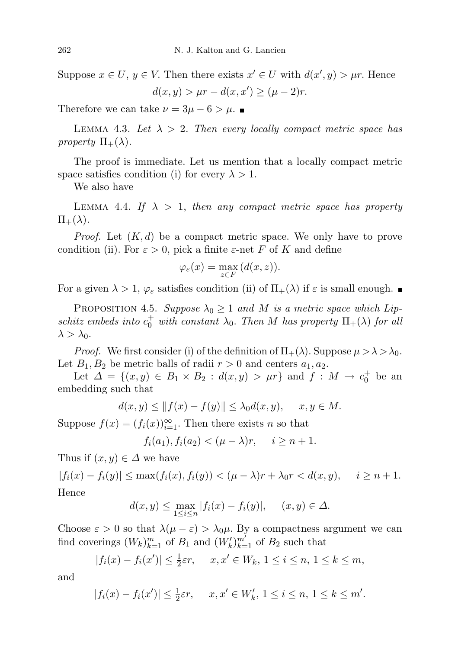Suppose  $x \in U$ ,  $y \in V$ . Then there exists  $x' \in U$  with  $d(x', y) > \mu r$ . Hence

$$
d(x, y) > \mu r - d(x, x') \ge (\mu - 2)r.
$$

Therefore we can take  $\nu = 3\mu - 6 > \mu$ .

LEMMA 4.3. Let  $\lambda > 2$ . Then every locally compact metric space has property  $\Pi_+(\lambda)$ .

The proof is immediate. Let us mention that a locally compact metric space satisfies condition (i) for every  $\lambda > 1$ .

We also have

LEMMA 4.4. If  $\lambda > 1$ , then any compact metric space has property  $\Pi_+(\lambda)$ .

*Proof.* Let  $(K, d)$  be a compact metric space. We only have to prove condition (ii). For  $\varepsilon > 0$ , pick a finite  $\varepsilon$ -net F of K and define

$$
\varphi_{\varepsilon}(x) = \max_{z \in F} (d(x, z)).
$$

For a given  $\lambda > 1$ ,  $\varphi_{\varepsilon}$  satisfies condition (ii) of  $\Pi_{+}(\lambda)$  if  $\varepsilon$  is small enough.

PROPOSITION 4.5. Suppose  $\lambda_0 \geq 1$  and M is a metric space which Lipschitz embeds into  $c_0^+$  with constant  $\lambda_0$ . Then M has property  $\Pi_+(\lambda)$  for all  $\lambda > \lambda_0$ .

*Proof.* We first consider (i) of the definition of  $\Pi_+(\lambda)$ . Suppose  $\mu > \lambda > \lambda_0$ . Let  $B_1, B_2$  be metric balls of radii  $r > 0$  and centers  $a_1, a_2$ .

Let  $\Delta = \{(x, y) \in B_1 \times B_2 : d(x, y) > \mu r\}$  and  $f : M \to c_0^+$  be an embedding such that

$$
d(x, y) \le ||f(x) - f(y)|| \le \lambda_0 d(x, y), \quad x, y \in M.
$$

Suppose  $f(x) = (f_i(x))_{i=1}^{\infty}$ . Then there exists *n* so that

$$
f_i(a_1), f_i(a_2) < ( \mu - \lambda )r, \quad i \ge n+1.
$$

Thus if  $(x, y) \in \Delta$  we have

 $|f_i(x) - f_i(y)| \le \max(f_i(x), f_i(y)) < (\mu - \lambda)r + \lambda_0 r < d(x, y), \quad i \ge n + 1.$ Hence

$$
d(x,y) \le \max_{1 \le i \le n} |f_i(x) - f_i(y)|, \quad (x,y) \in \Delta.
$$

Choose  $\varepsilon > 0$  so that  $\lambda(\mu - \varepsilon) > \lambda_0 \mu$ . By a compactness argument we can find coverings  $(W_k)_{k=1}^m$  of  $B_1$  and  $(W_k')_{k=1}^{m'}$  of  $B_2$  such that

$$
|f_i(x) - f_i(x')| \le \frac{1}{2}\varepsilon r, \quad x, x' \in W_k, 1 \le i \le n, 1 \le k \le m,
$$

and

$$
|f_i(x) - f_i(x')| \le \frac{1}{2}\varepsilon r, \quad x, x' \in W'_k, 1 \le i \le n, 1 \le k \le m'.
$$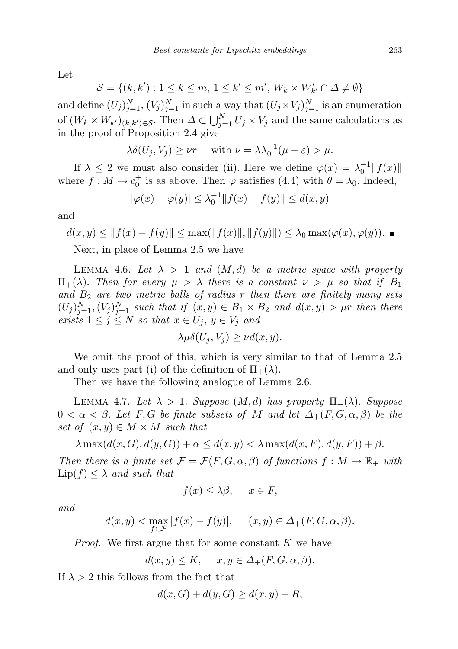Let

$$
\mathcal{S} = \{(k, k'): 1 \leq k \leq m, 1 \leq k' \leq m', W_k \times W'_{k'} \cap \Delta \neq \emptyset\}
$$

and define  $(U_j)_{j=1}^N$ ,  $(V_j)_{j=1}^N$  in such a way that  $(U_j \times V_j)_{j=1}^N$  is an enumeration of  $(W_k \times W_{k'})_{(k,k') \in \mathcal{S}}$ . Then  $\Delta \subset \bigcup_{j=1}^N U_j \times V_j$  and the same calculations as in the proof of Proposition 2.4 give

$$
\lambda \delta(U_j, V_j) \ge \nu r \quad \text{ with } \nu = \lambda \lambda_0^{-1} (\mu - \varepsilon) > \mu.
$$

If  $\lambda \leq 2$  we must also consider (ii). Here we define  $\varphi(x) = \lambda_0^{-1} ||f(x)||$ where  $f: M \to c_0^+$  is as above. Then  $\varphi$  satisfies (4.4) with  $\theta = \lambda_0$ . Indeed,

$$
|\varphi(x) - \varphi(y)| \le \lambda_0^{-1} ||f(x) - f(y)|| \le d(x, y)
$$

and

$$
d(x, y) \le ||f(x) - f(y)|| \le \max(||f(x)||, ||f(y)||) \le \lambda_0 \max(\varphi(x), \varphi(y)).
$$

Next, in place of Lemma 2.5 we have

LEMMA 4.6. Let  $\lambda > 1$  and  $(M, d)$  be a metric space with property  $\Pi_+(\lambda)$ . Then for every  $\mu > \lambda$  there is a constant  $\nu > \mu$  so that if  $B_1$ and  $B_2$  are two metric balls of radius r then there are finitely many sets  $(U_j)_{j=1}^N$ ,  $(V_j)_{j=1}^N$  such that if  $(x, y) \in B_1 \times B_2$  and  $d(x, y) > \mu r$  then there exists  $1 \leq j \leq N$  so that  $x \in U_j$ ,  $y \in V_j$  and

$$
\lambda \mu \delta(U_j, V_j) \ge \nu d(x, y).
$$

We omit the proof of this, which is very similar to that of Lemma 2.5 and only uses part (i) of the definition of  $\Pi_+(\lambda)$ .

Then we have the following analogue of Lemma 2.6.

LEMMA 4.7. Let  $\lambda > 1$ . Suppose  $(M, d)$  has property  $\Pi_+(\lambda)$ . Suppose  $0 < \alpha < \beta$ . Let F, G be finite subsets of M and let  $\Delta_+(F, G, \alpha, \beta)$  be the set of  $(x, y) \in M \times M$  such that

 $\lambda \max(d(x, G), d(y, G)) + \alpha \leq d(x, y) < \lambda \max(d(x, F), d(y, F)) + \beta.$ 

Then there is a finite set  $\mathcal{F} = \mathcal{F}(F, G, \alpha, \beta)$  of functions  $f : M \to \mathbb{R}_+$  with  $\text{Lip}(f) \leq \lambda$  and such that

$$
f(x) \le \lambda \beta, \quad x \in F,
$$

and

$$
d(x,y) < \max_{f \in \mathcal{F}} |f(x) - f(y)|, \quad (x,y) \in \Delta_+(F,G,\alpha,\beta).
$$

Proof. We first argue that for some constant K we have

$$
d(x, y) \le K, \quad x, y \in \Delta_+(F, G, \alpha, \beta).
$$

If  $\lambda > 2$  this follows from the fact that

$$
d(x, G) + d(y, G) \ge d(x, y) - R,
$$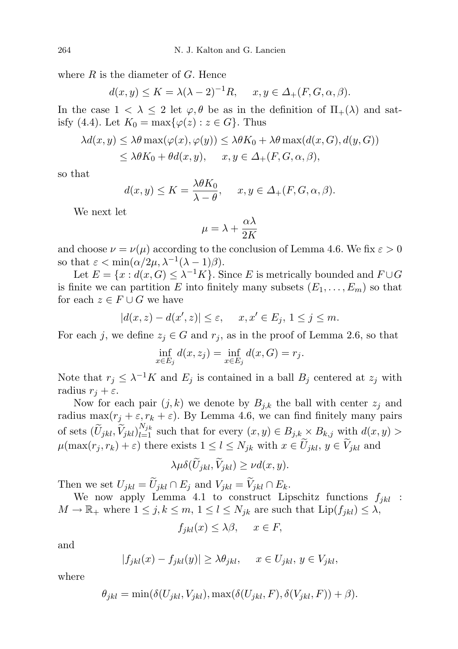where  $R$  is the diameter of  $G$ . Hence

$$
d(x, y) \le K = \lambda(\lambda - 2)^{-1}R, \quad x, y \in \Delta_+(F, G, \alpha, \beta).
$$

In the case  $1 < \lambda \leq 2$  let  $\varphi, \theta$  be as in the definition of  $\Pi_+(\lambda)$  and satisfy (4.4). Let  $K_0 = \max\{\varphi(z) : z \in G\}$ . Thus

$$
\lambda d(x, y) \leq \lambda \theta \max(\varphi(x), \varphi(y)) \leq \lambda \theta K_0 + \lambda \theta \max(d(x, G), d(y, G))
$$
  

$$
\leq \lambda \theta K_0 + \theta d(x, y), \quad x, y \in \Delta_+(F, G, \alpha, \beta),
$$

so that

$$
d(x, y) \le K = \frac{\lambda \theta K_0}{\lambda - \theta}, \quad x, y \in \Delta_+(F, G, \alpha, \beta).
$$

We next let

$$
\mu = \lambda + \frac{\alpha \lambda}{2K}
$$

and choose  $\nu = \nu(\mu)$  according to the conclusion of Lemma 4.6. We fix  $\varepsilon > 0$ so that  $\varepsilon < \min(\alpha/2\mu, \lambda^{-1}(\lambda - 1)\beta)$ .

Let  $E = \{x : d(x, G) \leq \lambda^{-1} K\}$ . Since E is metrically bounded and  $F \cup G$ is finite we can partition E into finitely many subsets  $(E_1, \ldots, E_m)$  so that for each  $z \in F \cup G$  we have

$$
|d(x,z)-d(x',z)|\leq\varepsilon,\quad \ x,x'\in E_j,\,1\leq j\leq m.
$$

For each j, we define  $z_j \in G$  and  $r_j$ , as in the proof of Lemma 2.6, so that

$$
\inf_{x \in E_j} d(x, z_j) = \inf_{x \in E_j} d(x, G) = r_j.
$$

Note that  $r_j \leq \lambda^{-1} K$  and  $E_j$  is contained in a ball  $B_j$  centered at  $z_j$  with radius  $r_i + \varepsilon$ .

Now for each pair  $(j, k)$  we denote by  $B_{j,k}$  the ball with center  $z_j$  and radius max $(r_j + \varepsilon, r_k + \varepsilon)$ . By Lemma 4.6, we can find finitely many pairs of sets  $(\widetilde{U}_{jkl}, \widetilde{V}_{jkl})_{l=1}^{N_{jk}}$  such that for every  $(x, y) \in B_{j,k} \times B_{k,j}$  with  $d(x, y) >$  $\mu(\max(r_j, r_k) + \varepsilon)$  there exists  $1 \leq l \leq N_{jk}$  with  $x \in \widetilde{U}_{jkl}$ ,  $y \in \widetilde{V}_{jkl}$  and

$$
\lambda \mu \delta(U_{jkl}, V_{jkl}) \ge \nu d(x, y).
$$

Then we set  $U_{jkl} = \widetilde{U}_{jkl} \cap E_j$  and  $V_{jkl} = \widetilde{V}_{jkl} \cap E_k$ .

We now apply Lemma 4.1 to construct Lipschitz functions  $f_{ikl}$ :  $M \to \mathbb{R}_+$  where  $1 \leq j, k \leq m, 1 \leq l \leq N_{jk}$  are such that  $\text{Lip}(f_{jkl}) \leq \lambda$ ,

$$
f_{jkl}(x) \le \lambda \beta, \quad x \in F,
$$

and

$$
|f_{jkl}(x) - f_{jkl}(y)| \ge \lambda \theta_{jkl}, \quad x \in U_{jkl}, y \in V_{jkl},
$$

where

$$
\theta_{jkl} = \min(\delta(U_{jkl}, V_{jkl}), \max(\delta(U_{jkl}, F), \delta(V_{jkl}, F)) + \beta).
$$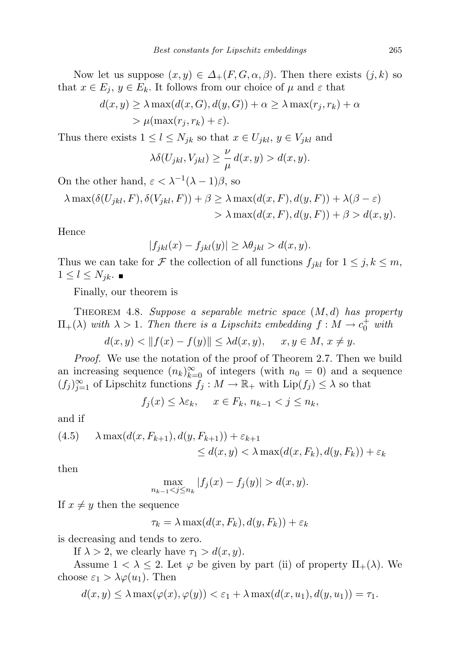Now let us suppose  $(x, y) \in \Delta_+(F, G, \alpha, \beta)$ . Then there exists  $(j, k)$  so that  $x \in E_j$ ,  $y \in E_k$ . It follows from our choice of  $\mu$  and  $\varepsilon$  that

$$
d(x, y) \ge \lambda \max(d(x, G), d(y, G)) + \alpha \ge \lambda \max(r_j, r_k) + \alpha
$$
  
>  $\mu(\max(r_j, r_k) + \varepsilon).$ 

Thus there exists  $1 \leq l \leq N_{jk}$  so that  $x \in U_{jkl}$ ,  $y \in V_{jkl}$  and

$$
\lambda \delta(U_{jkl}, V_{jkl}) \ge \frac{\nu}{\mu} d(x, y) > d(x, y).
$$

On the other hand,  $\varepsilon < \lambda^{-1}(\lambda - 1)\beta$ , so

$$
\lambda \max(\delta(U_{jkl}, F), \delta(V_{jkl}, F)) + \beta \ge \lambda \max(d(x, F), d(y, F)) + \lambda(\beta - \varepsilon)
$$
  
> 
$$
\lambda \max(d(x, F), d(y, F)) + \beta > d(x, y).
$$

Hence

$$
|f_{jkl}(x) - f_{jkl}(y)| \ge \lambda \theta_{jkl} > d(x, y).
$$

Thus we can take for F the collection of all functions  $f_{jkl}$  for  $1 \leq j, k \leq m$ ,  $1 \leq l \leq N_{jk}$ .

Finally, our theorem is

THEOREM 4.8. Suppose a separable metric space  $(M, d)$  has property  $\Pi_+(\lambda)$  with  $\lambda > 1$ . Then there is a Lipschitz embedding  $f: M \to c_0^+$  with

 $d(x, y) < ||f(x) - f(y)|| \leq \lambda d(x, y), \quad x, y \in M, x \neq y.$ 

Proof. We use the notation of the proof of Theorem 2.7. Then we build an increasing sequence  $(n_k)_{k=0}^{\infty}$  of integers (with  $n_0 = 0$ ) and a sequence  $(f_j)_{j=1}^{\infty}$  of Lipschitz functions  $f_j : M \to \mathbb{R}_+$  with  $\text{Lip}(f_j) \leq \lambda$  so that

$$
f_j(x) \leq \lambda \varepsilon_k, \quad x \in F_k, \, n_{k-1} < j \leq n_k,
$$

and if

(4.5) 
$$
\lambda \max(d(x, F_{k+1}), d(y, F_{k+1})) + \varepsilon_{k+1}
$$
  
 
$$
\leq d(x, y) < \lambda \max(d(x, F_k), d(y, F_k)) + \varepsilon_k
$$

then

$$
\max_{n_{k-1} < j \le n_k} |f_j(x) - f_j(y)| > d(x, y).
$$

If  $x \neq y$  then the sequence

$$
\tau_k = \lambda \max(d(x, F_k), d(y, F_k)) + \varepsilon_k
$$

is decreasing and tends to zero.

If  $\lambda > 2$ , we clearly have  $\tau_1 > d(x, y)$ .

Assume  $1 < \lambda \leq 2$ . Let  $\varphi$  be given by part (ii) of property  $\Pi_+(\lambda)$ . We choose  $\varepsilon_1 > \lambda \varphi(u_1)$ . Then

$$
d(x,y) \leq \lambda \max(\varphi(x),\varphi(y)) < \varepsilon_1 + \lambda \max(d(x,u_1),d(y,u_1)) = \tau_1.
$$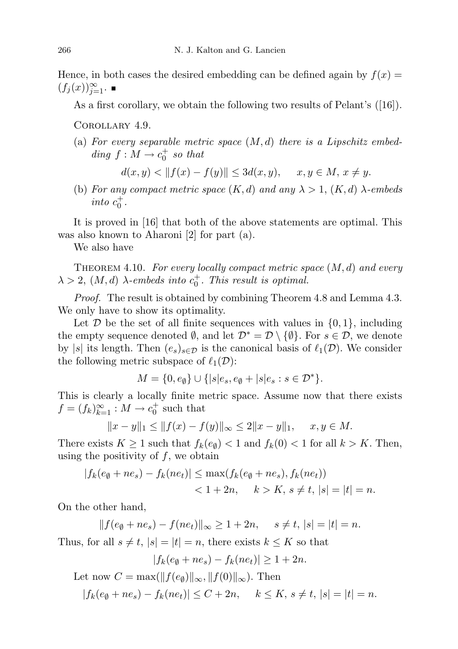Hence, in both cases the desired embedding can be defined again by  $f(x) =$  $(f_j(x))_{j=1}^{\infty}$ .

As a first corollary, we obtain the following two results of Pelant's ([16]).

Corollary 4.9.

(a) For every separable metric space  $(M, d)$  there is a Lipschitz embedding  $f: M \to c_0^+$  so that

 $d(x, y) < ||f(x) - f(y)|| < 3d(x, y), \quad x, y \in M, x \neq y.$ 

(b) For any compact metric space  $(K, d)$  and any  $\lambda > 1$ ,  $(K, d)$   $\lambda$ -embeds into  $c_0^+$ .

It is proved in [16] that both of the above statements are optimal. This was also known to Aharoni [2] for part (a).

We also have

THEOREM 4.10. For every locally compact metric space  $(M, d)$  and every  $\lambda > 2$ ,  $(M, d)$   $\lambda$ -embeds into  $c_0^+$ . This result is optimal.

Proof. The result is obtained by combining Theorem 4.8 and Lemma 4.3. We only have to show its optimality.

Let  $\mathcal D$  be the set of all finite sequences with values in  $\{0,1\}$ , including the empty sequence denoted  $\emptyset$ , and let  $\mathcal{D}^* = \mathcal{D} \setminus \{\emptyset\}$ . For  $s \in \mathcal{D}$ , we denote by |s| its length. Then  $(e_s)_{s \in \mathcal{D}}$  is the canonical basis of  $\ell_1(\mathcal{D})$ . We consider the following metric subspace of  $\ell_1(\mathcal{D})$ :

$$
M = \{0, e_{\emptyset}\} \cup \{|s|e_s, e_{\emptyset} + |s|e_s : s \in \mathcal{D}^*\}.
$$

This is clearly a locally finite metric space. Assume now that there exists  $f = (f_k)_{k=1}^{\infty} : M \to c_0^+$  such that

$$
||x - y||_1 \le ||f(x) - f(y)||_{\infty} \le 2||x - y||_1, \quad x, y \in M.
$$

There exists  $K \geq 1$  such that  $f_k(e_{\emptyset}) < 1$  and  $f_k(0) < 1$  for all  $k > K$ . Then, using the positivity of  $f$ , we obtain

$$
|f_k(e_{\emptyset} + ne_s) - f_k(ne_t)| \le \max(f_k(e_{\emptyset} + ne_s), f_k(ne_t))
$$
  
< 1 + 2n,  $k > K, s \ne t, |s| = |t| = n.$ 

On the other hand,

 $|| f(e_{\emptyset} + ne_s) - f(ne_t)||_{\infty} \ge 1 + 2n, \quad s \ne t, |s| = |t| = n.$ 

Thus, for all  $s \neq t$ ,  $|s| = |t| = n$ , there exists  $k \leq K$  so that

$$
|f_k(e_{\emptyset} + ne_s) - f_k(ne_t)| \ge 1 + 2n.
$$

Let now  $C = \max(||f(e_{\emptyset})||_{\infty}, ||f(0)||_{\infty})$ . Then

$$
|f_k(e_{\emptyset} + ne_s) - f_k(ne_t)| \le C + 2n, \quad k \le K, s \ne t, |s| = |t| = n.
$$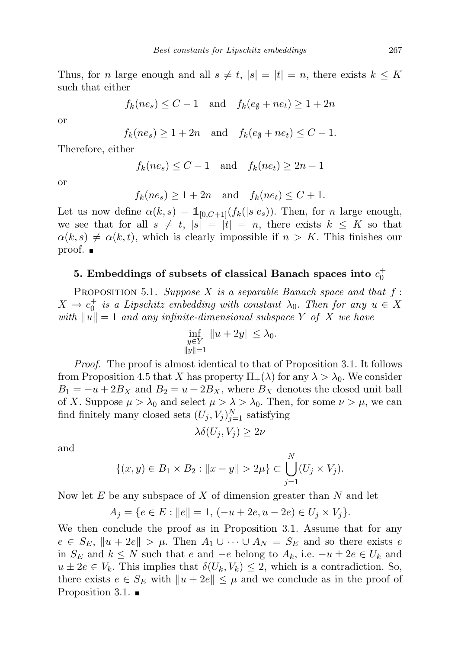Thus, for *n* large enough and all  $s \neq t$ ,  $|s| = |t| = n$ , there exists  $k \leq K$ such that either

$$
f_k(ne_s) \leq C - 1
$$
 and  $f_k(e_\emptyset + ne_t) \geq 1 + 2n$ 

or

 $f_k(ne_s) \geq 1+2n$  and  $f_k(e_\emptyset+ne_t) \leq C-1$ .

Therefore, either

$$
f_k(ne_s) \le C - 1 \quad \text{and} \quad f_k(ne_t) \ge 2n - 1
$$

or

$$
f_k(ne_s) \ge 1 + 2n
$$
 and  $f_k(ne_t) \le C + 1$ .

Let us now define  $\alpha(k, s) = \mathbb{1}_{[0, C+1]}(f_k(|s|e_s))$ . Then, for *n* large enough, we see that for all  $s \neq t$ ,  $|s| = |t| = n$ , there exists  $k \leq K$  so that  $\alpha(k, s) \neq \alpha(k, t)$ , which is clearly impossible if  $n > K$ . This finishes our proof.  $\blacksquare$ 

## 5. Embeddings of subsets of classical Banach spaces into  $c_0^+$

PROPOSITION 5.1. Suppose X is a separable Banach space and that  $f$ :  $X \to c_0^+$  is a Lipschitz embedding with constant  $\lambda_0$ . Then for any  $u \in X$ with  $\|u\|=1$  and any infinite-dimensional subspace Y of X we have

$$
\inf_{\substack{y \in Y \\ \|y\| = 1}} \|u + 2y\| \le \lambda_0.
$$

Proof. The proof is almost identical to that of Proposition 3.1. It follows from Proposition 4.5 that X has property  $\Pi_+(\lambda)$  for any  $\lambda > \lambda_0$ . We consider  $B_1 = -u + 2B_X$  and  $B_2 = u + 2B_X$ , where  $B_X$  denotes the closed unit ball of X. Suppose  $\mu > \lambda_0$  and select  $\mu > \lambda > \lambda_0$ . Then, for some  $\nu > \mu$ , we can find finitely many closed sets  $(U_j, V_j)_{j=1}^N$  satisfying

$$
\lambda \delta(U_j, V_j) \ge 2\nu
$$

and

$$
\{(x,y) \in B_1 \times B_2 : ||x - y|| > 2\mu\} \subset \bigcup_{j=1}^N (U_j \times V_j).
$$

Now let  $E$  be any subspace of X of dimension greater than N and let

$$
A_j = \{ e \in E : ||e|| = 1, (-u + 2e, u - 2e) \in U_j \times V_j \}.
$$

We then conclude the proof as in Proposition 3.1. Assume that for any  $e \in S_E$ ,  $\|u + 2e\| > \mu$ . Then  $A_1 \cup \cdots \cup A_N = S_E$  and so there exists e in  $S_E$  and  $k \leq N$  such that e and  $-e$  belong to  $A_k$ , i.e.  $-u \pm 2e \in U_k$  and  $u \pm 2e \in V_k$ . This implies that  $\delta(U_k, V_k) \leq 2$ , which is a contradiction. So, there exists  $e \in S_E$  with  $||u + 2e|| \leq \mu$  and we conclude as in the proof of Proposition 3.1.  $\blacksquare$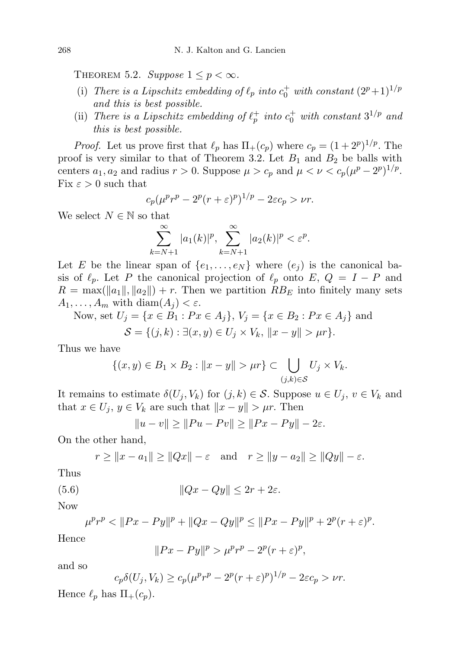THEOREM 5.2. Suppose  $1 \leq p < \infty$ .

- (i) There is a Lipschitz embedding of  $\ell_p$  into  $c_0^+$  with constant  $(2^p+1)^{1/p}$ and this is best possible.
- (ii) There is a Lipschitz embedding of  $\ell_p^+$  into  $c_0^+$  with constant  $3^{1/p}$  and this is best possible.

*Proof.* Let us prove first that  $\ell_p$  has  $\Pi_+(c_p)$  where  $c_p = (1 + 2^p)^{1/p}$ . The proof is very similar to that of Theorem 3.2. Let  $B_1$  and  $B_2$  be balls with centers  $a_1, a_2$  and radius  $r > 0$ . Suppose  $\mu > c_p$  and  $\mu < \nu < c_p(\mu^p - 2^p)^{1/p}$ . Fix  $\varepsilon > 0$  such that

$$
c_p(\mu^p r^p - 2^p(r+\varepsilon)^p)^{1/p} - 2\varepsilon c_p > \nu r.
$$

We select  $N \in \mathbb{N}$  so that

$$
\sum_{k=N+1}^{\infty} |a_1(k)|^p, \sum_{k=N+1}^{\infty} |a_2(k)|^p < \varepsilon^p.
$$

Let E be the linear span of  $\{e_1, \ldots, e_N\}$  where  $(e_i)$  is the canonical basis of  $\ell_p$ . Let P the canonical projection of  $\ell_p$  onto E,  $Q = I - P$  and  $R = \max(||a_1||, ||a_2||) + r$ . Then we partition  $RB_E$  into finitely many sets  $A_1, \ldots, A_m$  with  $\text{diam}(A_j) < \varepsilon$ .

Now, set  $U_j = \{x \in B_1 : Px \in A_j\}, V_j = \{x \in B_2 : Px \in A_j\}$  and

$$
S = \{(j,k) : \exists (x,y) \in U_j \times V_k, \|x - y\| > \mu r\}.
$$

Thus we have

$$
\{(x,y)\in B_1\times B_2: ||x-y||>\mu r\}\subset \bigcup_{(j,k)\in S} U_j\times V_k.
$$

It remains to estimate  $\delta(U_j, V_k)$  for  $(j, k) \in S$ . Suppose  $u \in U_j$ ,  $v \in V_k$  and that  $x \in U_j$ ,  $y \in V_k$  are such that  $||x - y|| > \mu r$ . Then

$$
||u - v|| \ge ||Pu - Pv|| \ge ||Px - Py|| - 2\varepsilon.
$$

On the other hand,

$$
r \ge ||x - a_1|| \ge ||Qx|| - \varepsilon
$$
 and  $r \ge ||y - a_2|| \ge ||Qy|| - \varepsilon$ .

Thus

(5.6) 
$$
||Qx - Qy|| \leq 2r + 2\varepsilon.
$$

Now

$$
\mu^p r^p < \|Px - Py\|^p + \|Qx - Qy\|^p \le \|Px - Py\|^p + 2^p(r + \varepsilon)^p.
$$

Hence

$$
||Px - Py||^p > \mu^p r^p - 2^p (r + \varepsilon)^p,
$$

and so

$$
c_p \delta(U_j, V_k) \ge c_p (\mu^p r^p - 2^p (r + \varepsilon)^p)^{1/p} - 2\varepsilon c_p > \nu r.
$$

Hence  $\ell_p$  has  $\Pi_+(c_p)$ .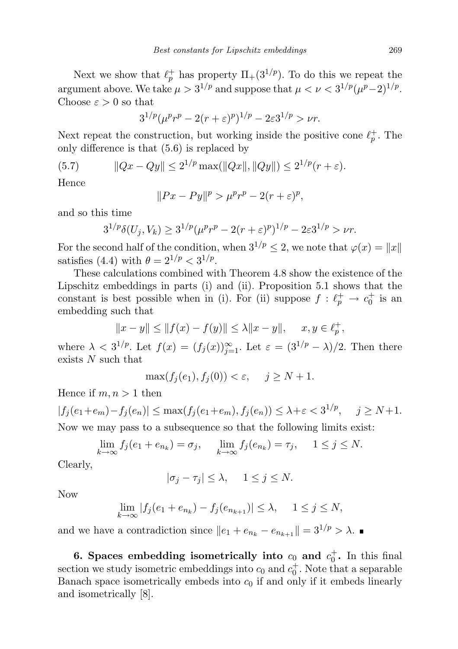Next we show that  $\ell_p^+$  has property  $\Pi_+(3^{1/p})$ . To do this we repeat the argument above. We take  $\mu > 3^{1/p}$  and suppose that  $\mu < \nu < 3^{1/p}(\mu^p-2)^{1/p}$ . Choose  $\varepsilon > 0$  so that

$$
3^{1/p}(\mu^p r^p - 2(r+\varepsilon)^p)^{1/p} - 2\varepsilon 3^{1/p} > \nu r.
$$

Next repeat the construction, but working inside the positive cone  $\ell_p^+$ . The only difference is that (5.6) is replaced by

$$
(5.7) \t\t ||Qx - Qy|| \le 2^{1/p} \max(||Qx||, ||Qy||) \le 2^{1/p} (r + \varepsilon).
$$

Hence

$$
||Px - Py||^p > \mu^p r^p - 2(r + \varepsilon)^p,
$$

and so this time

$$
3^{1/p}\delta(U_j, V_k) \ge 3^{1/p}(\mu^p r^p - 2(r+\varepsilon)^p)^{1/p} - 2\varepsilon 3^{1/p} > \nu r.
$$

For the second half of the condition, when  $3^{1/p} \leq 2$ , we note that  $\varphi(x) = ||x||$ satisfies (4.4) with  $\theta = 2^{1/p} < 3^{1/p}$ .

These calculations combined with Theorem 4.8 show the existence of the Lipschitz embeddings in parts (i) and (ii). Proposition 5.1 shows that the constant is best possible when in (i). For (ii) suppose  $f : \ell_p^+ \to c_0^+$  is an embedding such that

$$
||x-y||\leq ||f(x)-f(y)||\leq \lambda ||x-y||, \quad \ x,y\in \ell_p^+,
$$

where  $\lambda < 3^{1/p}$ . Let  $f(x) = (f_j(x))_{j=1}^{\infty}$ . Let  $\varepsilon = (3^{1/p} - \lambda)/2$ . Then there exists  $N$  such that

$$
\max(f_j(e_1), f_j(0)) < \varepsilon, \quad j \ge N + 1.
$$

Hence if  $m, n > 1$  then

$$
|f_j(e_1 + e_m) - f_j(e_n)| \le \max(f_j(e_1 + e_m), f_j(e_n)) \le \lambda + \varepsilon < 3^{1/p}, \quad j \ge N + 1.
$$
\nNow we may pass to a subsequence so that the following limits exist:

$$
\lim_{k \to \infty} f_j(e_1 + e_{n_k}) = \sigma_j, \quad \lim_{k \to \infty} f_j(e_{n_k}) = \tau_j, \quad 1 \le j \le N.
$$

Clearly,

$$
|\sigma_j - \tau_j| \le \lambda, \quad 1 \le j \le N.
$$

Now

$$
\lim_{k \to \infty} |f_j(e_1 + e_{n_k}) - f_j(e_{n_{k+1}})| \le \lambda, \quad 1 \le j \le N,
$$

and we have a contradiction since  $||e_1 + e_{n_k} - e_{n_{k+1}}|| = 3^{1/p} > \lambda$ .

6. Spaces embedding isometrically into  $c_0$  and  $c_0^+$ . In this final section we study isometric embeddings into  $c_0$  and  $c_0^+$ . Note that a separable Banach space isometrically embeds into  $c_0$  if and only if it embeds linearly and isometrically [8].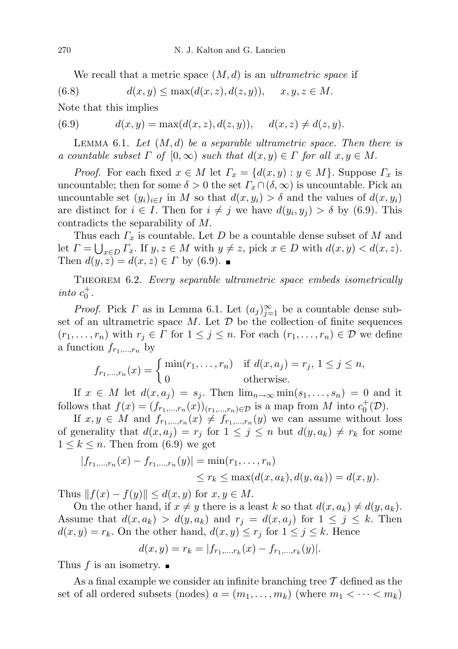We recall that a metric space  $(M, d)$  is an *ultrametric space* if

(6.8)  $d(x, y) \le \max(d(x, z), d(z, y)), \quad x, y, z \in M.$ 

Note that this implies

(6.9) 
$$
d(x, y) = \max(d(x, z), d(z, y)), \quad d(x, z) \neq d(z, y).
$$

LEMMA 6.1. Let  $(M, d)$  be a separable ultrametric space. Then there is a countable subset  $\Gamma$  of  $[0,\infty)$  such that  $d(x,y) \in \Gamma$  for all  $x,y \in M$ .

*Proof.* For each fixed  $x \in M$  let  $\Gamma_x = \{d(x, y) : y \in M\}$ . Suppose  $\Gamma_x$  is uncountable; then for some  $\delta > 0$  the set  $\Gamma_x \cap (\delta, \infty)$  is uncountable. Pick an uncountable set  $(y_i)_{i\in I}$  in M so that  $d(x, y_i) > \delta$  and the values of  $d(x, y_i)$ are distinct for  $i \in I$ . Then for  $i \neq j$  we have  $d(y_i, y_j) > \delta$  by (6.9). This contradicts the separability of M.

Thus each  $\Gamma_x$  is countable. Let D be a countable dense subset of M and let  $\Gamma = \bigcup_{x \in D} \Gamma_x$ . If  $y, z \in M$  with  $y \neq z$ , pick  $x \in D$  with  $d(x, y) < d(x, z)$ . Then  $d(y, z) = d(x, z) \in \Gamma$  by (6.9).

THEOREM 6.2. Every separable ultrametric space embeds isometrically into  $c_0^+$ .

*Proof.* Pick  $\Gamma$  as in Lemma 6.1. Let  $(a_j)_{j=1}^{\infty}$  be a countable dense subset of an ultrametric space  $M$ . Let  $\mathcal D$  be the collection of finite sequences  $(r_1, \ldots, r_n)$  with  $r_j \in \Gamma$  for  $1 \leq j \leq n$ . For each  $(r_1, \ldots, r_n) \in \mathcal{D}$  we define a function  $f_{r_1,\ldots,r_n}$  by

$$
f_{r_1,\dots,r_n}(x) = \begin{cases} \min(r_1,\dots,r_n) & \text{if } d(x,a_j) = r_j, \ 1 \leq j \leq n, \\ 0 & \text{otherwise.} \end{cases}
$$

If  $x \in M$  let  $d(x, a_j) = s_j$ . Then  $\lim_{n \to \infty} \min(s_1, \ldots, s_n) = 0$  and it follows that  $f(x) = (f_{r_1,\dots,r_n}(x))_{(r_1,\dots,r_n)\in\mathcal{D}}$  is a map from M into  $c_0^+(\mathcal{D})$ .

If  $x, y \in M$  and  $f_{r_1,...,r_n}(x) \neq f_{r_1,...,r_n}(y)$  we can assume without loss of generality that  $d(x, a_j) = r_j$  for  $1 \leq j \leq n$  but  $d(y, a_k) \neq r_k$  for some  $1 \leq k \leq n$ . Then from (6.9) we get

$$
|f_{r_1,\dots,r_n}(x) - f_{r_1,\dots,r_n}(y)| = \min(r_1,\dots,r_n)
$$
  

$$
\leq r_k \leq \max(d(x,a_k),d(y,a_k)) = d(x,y).
$$

Thus  $|| f(x) - f(y)|| \leq d(x, y)$  for  $x, y \in M$ .

On the other hand, if  $x \neq y$  there is a least k so that  $d(x, a_k) \neq d(y, a_k)$ . Assume that  $d(x, a_k) > d(y, a_k)$  and  $r_j = d(x, a_j)$  for  $1 \leq j \leq k$ . Then  $d(x, y) = r_k$ . On the other hand,  $d(x, y) \leq r_j$  for  $1 \leq j \leq k$ . Hence

$$
d(x, y) = r_k = |f_{r_1, \dots, r_k}(x) - f_{r_1, \dots, r_k}(y)|.
$$

Thus f is an isometry.

As a final example we consider an infinite branching tree  $\mathcal T$  defined as the set of all ordered subsets (nodes)  $a = (m_1, \ldots, m_k)$  (where  $m_1 < \cdots < m_k$ )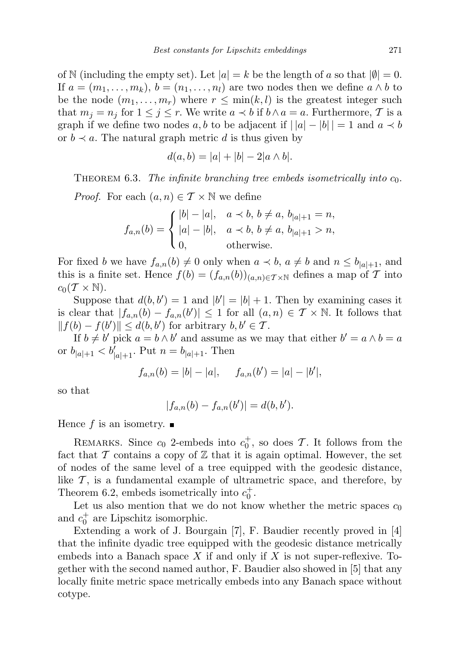of N (including the empty set). Let  $|a| = k$  be the length of a so that  $|0| = 0$ . If  $a = (m_1, \ldots, m_k)$ ,  $b = (n_1, \ldots, n_l)$  are two nodes then we define  $a \wedge b$  to be the node  $(m_1, \ldots, m_r)$  where  $r \leq \min(k, l)$  is the greatest integer such that  $m_j = n_j$  for  $1 \leq j \leq r$ . We write  $a \prec b$  if  $b \wedge a = a$ . Furthermore, T is a graph if we define two nodes a, b to be adjacent if  $||a|-|b||=1$  and  $a \lt b$ or  $b \prec a$ . The natural graph metric d is thus given by

$$
d(a, b) = |a| + |b| - 2|a \wedge b|.
$$

THEOREM 6.3. The infinite branching tree embeds isometrically into  $c_0$ . *Proof.* For each  $(a, n) \in \mathcal{T} \times \mathbb{N}$  we define

$$
f_{a,n}(b) = \begin{cases} |b| - |a|, & a \lt b, b \neq a, b_{|a|+1} = n, \\ |a| - |b|, & a \lt b, b \neq a, b_{|a|+1} > n, \\ 0, & \text{otherwise.} \end{cases}
$$

For fixed b we have  $f_{a,n}(b) \neq 0$  only when  $a \prec b$ ,  $a \neq b$  and  $n \leq b_{|a|+1}$ , and this is a finite set. Hence  $f(b) = (f_{a,n}(b))_{(a,n)\in\mathcal{T}\times\mathbb{N}}$  defines a map of T into  $c_0(T \times N)$ .

Suppose that  $d(b, b') = 1$  and  $|b'| = |b| + 1$ . Then by examining cases it is clear that  $|f_{a,n}(b) - f_{a,n}(b')| \leq 1$  for all  $(a, n) \in \mathcal{T} \times \mathbb{N}$ . It follows that  $|| f(b) - f(b') || \leq d(b, b')$  for arbitrary  $b, b' \in \mathcal{T}$ .

If  $b \neq b'$  pick  $a = b \wedge b'$  and assume as we may that either  $b' = a \wedge b = a$ or  $b_{|a|+1} < b'_{|a|+1}$ . Put  $n = b_{|a|+1}$ . Then

$$
f_{a,n}(b) = |b| - |a|, \quad f_{a,n}(b') = |a| - |b'|,
$$

so that

$$
|f_{a,n}(b) - f_{a,n}(b')| = d(b,b').
$$

Hence f is an isometry.  $\blacksquare$ 

REMARKS. Since  $c_0$  2-embeds into  $c_0^+$ , so does  $\mathcal T$ . It follows from the fact that  $\mathcal T$  contains a copy of  $\mathbb Z$  that it is again optimal. However, the set of nodes of the same level of a tree equipped with the geodesic distance, like  $\mathcal{T}$ , is a fundamental example of ultrametric space, and therefore, by Theorem 6.2, embeds isometrically into  $c_0^+$ .

Let us also mention that we do not know whether the metric spaces  $c_0$ and  $c_0^+$  are Lipschitz isomorphic.

Extending a work of J. Bourgain [7], F. Baudier recently proved in [4] that the infinite dyadic tree equipped with the geodesic distance metrically embeds into a Banach space X if and only if X is not super-reflexive. Together with the second named author, F. Baudier also showed in [5] that any locally finite metric space metrically embeds into any Banach space without cotype.